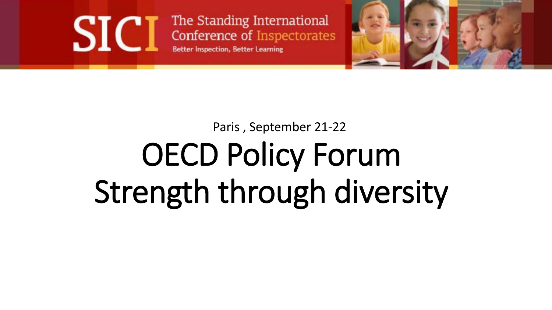The Standing International Conference of Inspectorates **Better Inspection, Better Learning** 

**SIC** 



#### Paris , September 21-22

# OECD Policy Forum Strength through diversity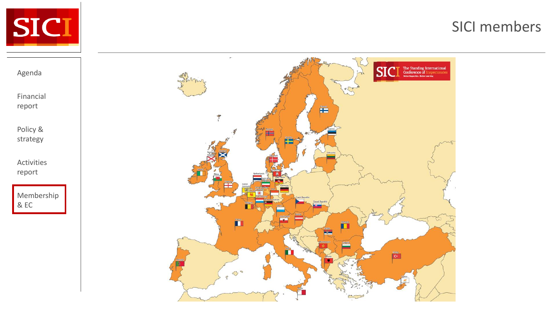

Agenda

Financial report

Policy & strategy

Activities report

Membership

& EC

#### SICI members

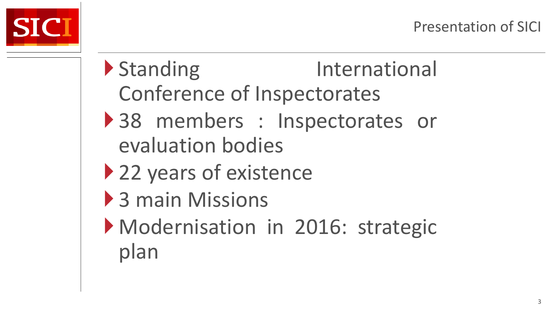

- Standing International Conference of Inspectorates 38 members : Inspectorates or evaluation bodies
- ▶ 22 years of existence
- ▶ 3 main Missions
- Modernisation in 2016: strategic plan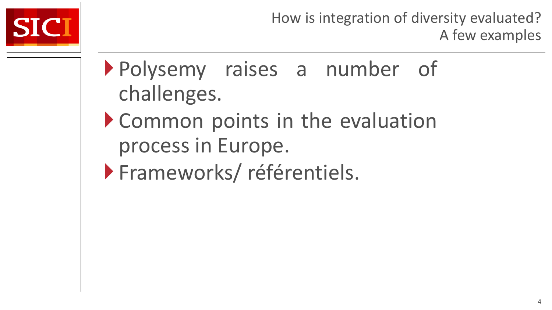

- Polysemy raises a number of challenges.
- Common points in the evaluation process in Europe.
- **Frameworks/référentiels.**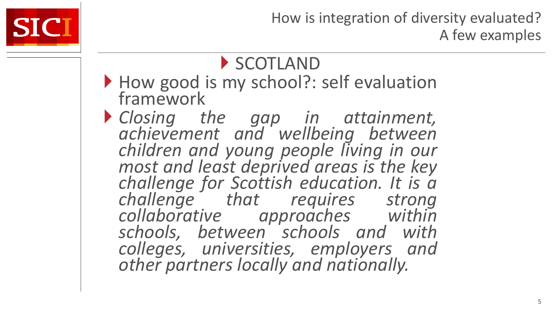

#### SCOTLAND

- How good is my school?: self evaluation framework
- *Closing the gap in attainment, achievement and wellbeing between children and young people living in our most and least deprived areas is the key challenge for Scottish education. It is a challenge that requires strong collaborative approaches within schools, between schools and with colleges, universities, employers and other partners locally and nationally.*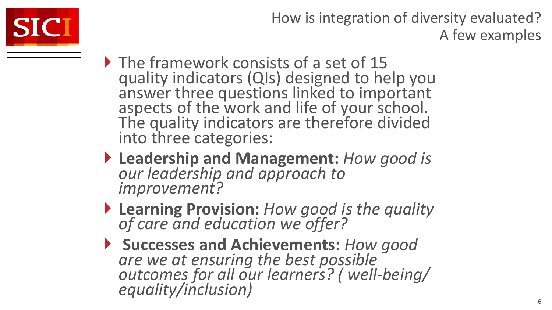

- The framework consists of a set of 15 quality indicators (QIs) designed to help you answer three questions linked to important aspects of the work and life of your school. The quality indicators are therefore divided into three categories:
- **Leadership and Management:** *How good is our leadership and approach to improvement?*
- **Learning Provision:** *How good is the quality of care and education we offer?*
- **Successes and Achievements:** *How good are we at ensuring the best possible outcomes for all our learners? ( well-being/ equality/inclusion)*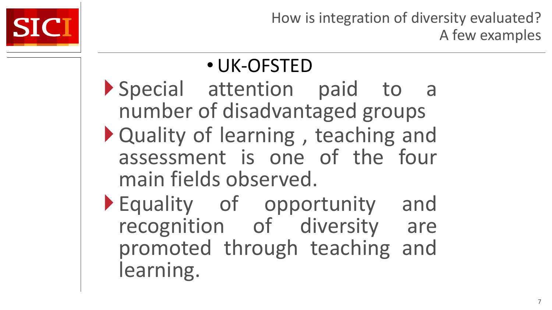

#### •UK-OFSTED Special attention paid to a number of disadvantaged groups Quality of learning , teaching and

- assessment is one of the four main fields observed.
- Equality of opportunity and recognition of diversity are promoted through teaching and learning.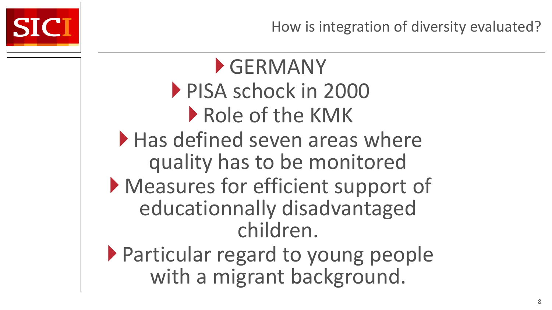



GERMANY PISA schock in 2000 Role of the KMK  $\blacktriangleright$  Has defined seven areas where quality has to be monitored Measures for efficient support of educationnally disadvantaged children.

 Particular regard to young people with a migrant background.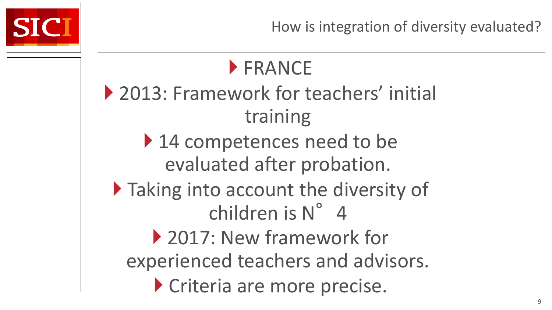

How is integration of diversity evaluated?

## **FRANCE**

- ▶ 2013: Framework for teachers' initial training
	- ▶ 14 competences need to be evaluated after probation.
- $\blacktriangleright$  Taking into account the diversity of children is N° 4
	- ▶ 2017: New framework for experienced teachers and advisors. Criteria are more precise.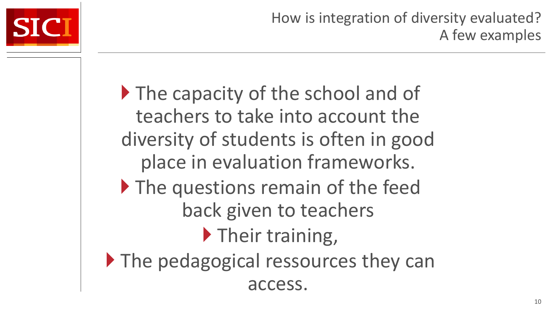

If The capacity of the school and of teachers to take into account the diversity of students is often in good place in evaluation frameworks. If The questions remain of the feed back given to teachers **Their training,** The pedagogical ressources they can access.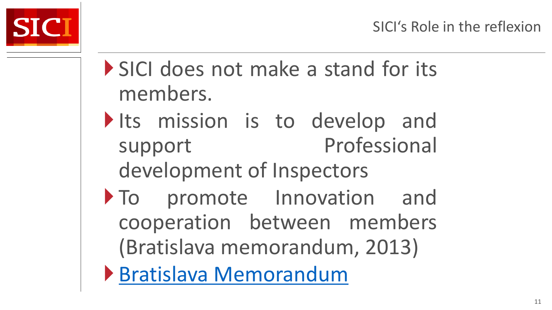

- SICI does not make a stand for its members.
- Its mission is to develop and support Professional development of Inspectors
- $\triangleright$  To promote Innovation and cooperation between members (Bratislava memorandum, 2013)
- [Bratislava](http://www.sici-inspectorates.eu/About-us/Vision-mission/The-Bratislava-Memorandum-is-on-the-Website) [Memorandum](http://www.sici-inspectorates.eu/About-us/Vision-mission/The-Bratislava-Memorandum-is-on-the-Website)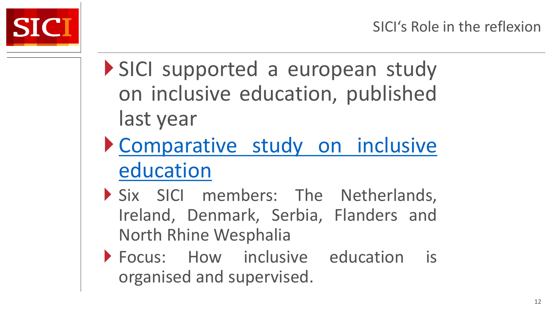

- SICI supported a european study on inclusive education, published last year
- [Comparative](http://www.sici-inspectorates.eu/Activities/Development-and-Research/Research/Inclusive-Education-Into-Practice) [study](http://www.sici-inspectorates.eu/Activities/Development-and-Research/Research/Inclusive-Education-Into-Practice) [on](http://www.sici-inspectorates.eu/Activities/Development-and-Research/Research/Inclusive-Education-Into-Practice) [inclusive](http://www.sici-inspectorates.eu/Activities/Development-and-Research/Research/Inclusive-Education-Into-Practice) [education](http://www.sici-inspectorates.eu/Activities/Development-and-Research/Research/Inclusive-Education-Into-Practice)
- Six SICI members: The Netherlands, Ireland, Denmark, Serbia, Flanders and North Rhine Wesphalia
- Focus: How inclusive education is organised and supervised.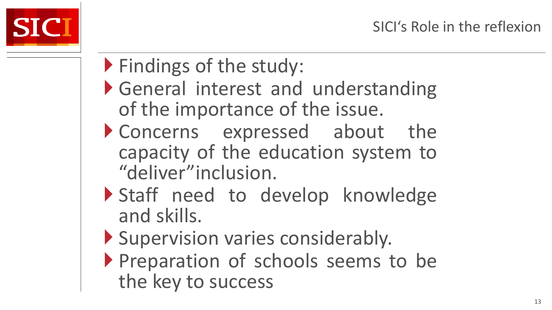

- Findings of the study:
- General interest and understanding of the importance of the issue.
- Concerns expressed about the capacity of the education system to "deliver"inclusion.
- Staff need to develop knowledge and skills.
- Supervision varies considerably.
- Preparation of schools seems to be the key to success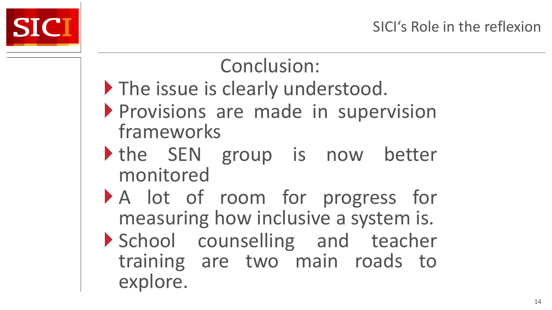

### Conclusion:

- The issue is clearly understood.
- Provisions are made in supervision frameworks
- the SEN group is now better monitored
- A lot of room for progress for measuring how inclusive a system is.
- School counselling and teacher training are two main roads to explore.